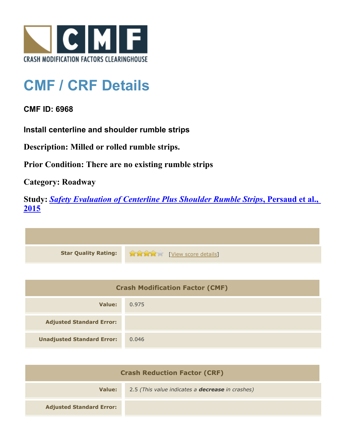

## **CMF / CRF Details**

## **CMF ID: 6968**

**Install centerline and shoulder rumble strips**

**Description: Milled or rolled rumble strips.**

**Prior Condition: There are no existing rumble strips**

**Category: Roadway**

**Study:** *[Safety Evaluation of Centerline Plus Shoulder Rumble Strips](http://www.cmfclearinghouse.org/study_detail.cfm?stid=411)***[, Persaud et al.,](http://www.cmfclearinghouse.org/study_detail.cfm?stid=411) [2015](http://www.cmfclearinghouse.org/study_detail.cfm?stid=411)**



| <b>Crash Modification Factor (CMF)</b> |       |
|----------------------------------------|-------|
| Value:                                 | 0.975 |
| <b>Adjusted Standard Error:</b>        |       |
| <b>Unadjusted Standard Error:</b>      | 0.046 |

| <b>Crash Reduction Factor (CRF)</b> |                                                         |
|-------------------------------------|---------------------------------------------------------|
| Value:                              | 2.5 (This value indicates a <b>decrease</b> in crashes) |
| <b>Adjusted Standard Error:</b>     |                                                         |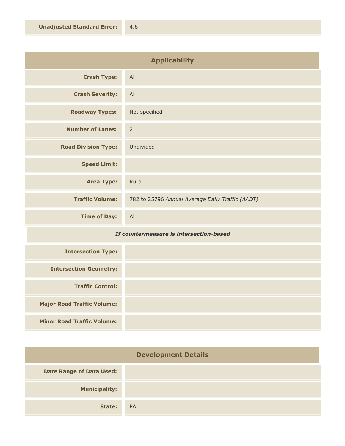| <b>Applicability</b>       |                                                  |
|----------------------------|--------------------------------------------------|
| <b>Crash Type:</b>         | All                                              |
| <b>Crash Severity:</b>     | All                                              |
| <b>Roadway Types:</b>      | Not specified                                    |
| <b>Number of Lanes:</b>    | $\overline{2}$                                   |
| <b>Road Division Type:</b> | Undivided                                        |
| <b>Speed Limit:</b>        |                                                  |
| <b>Area Type:</b>          | Rural                                            |
| <b>Traffic Volume:</b>     | 782 to 25796 Annual Average Daily Traffic (AADT) |
| <b>Time of Day:</b>        | All                                              |

## *If countermeasure is intersection-based*

| <b>Intersection Type:</b>         |  |
|-----------------------------------|--|
| <b>Intersection Geometry:</b>     |  |
| <b>Traffic Control:</b>           |  |
| <b>Major Road Traffic Volume:</b> |  |
| <b>Minor Road Traffic Volume:</b> |  |

| <b>Development Details</b>      |           |  |
|---------------------------------|-----------|--|
| <b>Date Range of Data Used:</b> |           |  |
| <b>Municipality:</b>            |           |  |
| State:                          | <b>PA</b> |  |